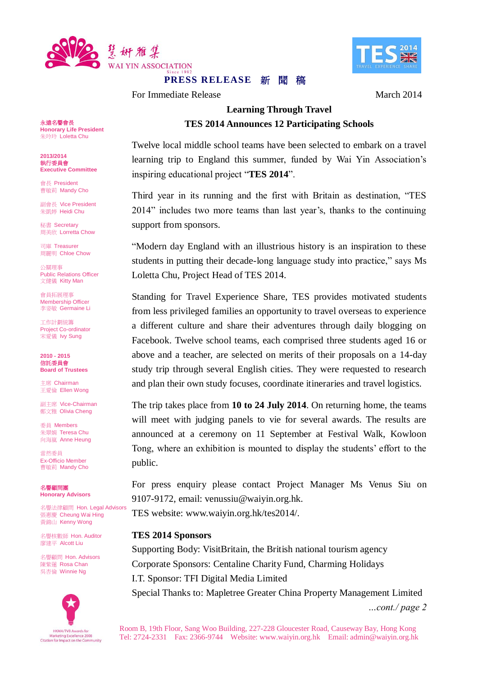

# S SK

# **PRESS RELEASE 新 閏 稿**

For Immediate Release March 2014

# **Learning Through Travel TES 2014 Announces 12 Participating Schools**

Twelve local middle school teams have been selected to embark on a travel learning trip to England this summer, funded by Wai Yin Association's inspiring educational project "**TES 2014**".

Third year in its running and the first with Britain as destination, "TES 2014" includes two more teams than last year's, thanks to the continuing support from sponsors.

"Modern day England with an illustrious history is an inspiration to these students in putting their decade-long language study into practice," says Ms Loletta Chu, Project Head of TES 2014.

Standing for Travel Experience Share, TES provides motivated students from less privileged families an opportunity to travel overseas to experience a different culture and share their adventures through daily blogging on Facebook. Twelve school teams, each comprised three students aged 16 or above and a teacher, are selected on merits of their proposals on a 14-day study trip through several English cities. They were requested to research and plan their own study focuses, coordinate itineraries and travel logistics.

The trip takes place from **10 to 24 July 2014**. On returning home, the teams will meet with judging panels to vie for several awards. The results are announced at a ceremony on 11 September at Festival Walk, Kowloon Tong, where an exhibition is mounted to display the students' effort to the public.

For press enquiry please contact Project Manager Ms Venus Siu on 9107-9172, email: venussiu@waiyin.org.hk.

TES website: www.waiyin.org.hk/tes2014/.

### **TES 2014 Sponsors**

Supporting Body: VisitBritain, the British national tourism agency Corporate Sponsors: Centaline Charity Fund, Charming Holidays I.T. Sponsor: TFI Digital Media Limited

Special Thanks to: Mapletree Greater China Property Management Limited

*…cont./ page 2*

永遠名譽會長 **Honorary Life President** 朱玲玲 Loletta Chu

**2013/2014** 執行委員會 **Executive Committee**

會長 President 曹敏莉 Mandy Cho

副會長 Vice President 朱凱婷 Heidi Chu

秘書 Secretary **周美欣 Lorretta Chow** 

司庫 Treasurer 周麗明 Chloe Chow

公關理事 Public Relations Officer 文健儀 Kitty Man

會員拓展理事 Membership Officer 李姿敏 Germaine Li

工作計劃統籌 Project Co-ordinator 宋愛儀 Ivy Sung

**2010 - 2015** 信託委員會 **Board of Trustees**

主席 Chairman 王愛倫 Ellen Wong

副主席 Vice-Chairman 鄭文雅 Olivia Cheng

委員 Members 朱翠娟 Teresa Chu 向海嵐 Anne Heung

當然委員 Ex-Officio Member 曹敏莉 Mandy Cho

名譽顧問團 **Honorary Advisors**

名譽法律顧問 Hon. Legal Advisors 張惠慶 Cheung Wai Hing 黃錦山 Kenny Wong

名譽核數師 Hon. Auditor 廖建平 Alcott Liu

名譽顧問 Hon. Advisors 陳紫蓮 Rosa Chan 吳杏倫 Winnie Ng